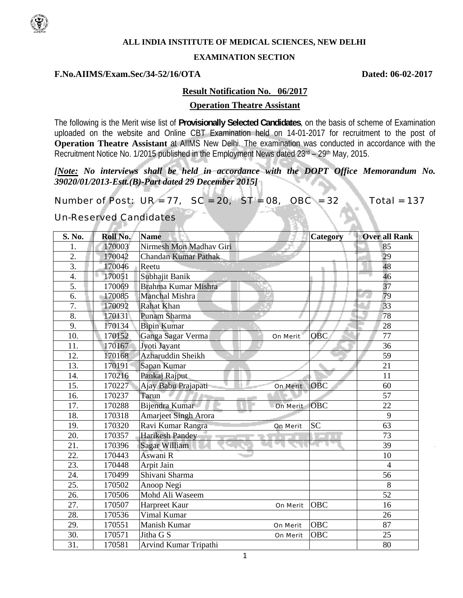

### **ALL INDIA INSTITUTE OF MEDICAL SCIENCES, NEW DELHI**

#### **EXAMINATION SECTION**

### **F.No.AIIMS/Exam.Sec/34-52/16/OTA Dated: 06-02-2017**

#### **Result Notification No. 06/2017**

#### **Operation Theatre Assistant**

The following is the Merit wise list of **Provisionally Selected Candidates**, on the basis of scheme of Examination uploaded on the website and Online CBT Examination held on 14-01-2017 for recruitment to the post of **Operation Theatre Assistant** at AIIMS New Delhi. The examination was conducted in accordance with the Recruitment Notice No. 1/2015 published in the Employment News dated 23rd – 29th May, 2015.

# *[Note: No interviews shall be held in accordance with the DOPT Office Memorandum No. 39020/01/2013-Estt.(B)-Part dated 29 December 2015]*

Number of Post:  $UR = 77$ ,  $SC = 20$ ,  $ST = 08$ ,  $OBC = 32$  Total = 137

#### Un-Reserved Candidates -10-1

| S. No.           | Roll No. | <b>Name</b>                            | <b>Category</b> | <b>Over all Rank</b> |
|------------------|----------|----------------------------------------|-----------------|----------------------|
| 1.               | 170003   | Nirmesh Mon Madhav Giri                |                 | 85                   |
| 2.               | 170042   | nC)<br><b>Chandan Kumar Pathak</b>     |                 | 29                   |
| $\overline{3}$ . | 170046   | Reetu                                  |                 | 48                   |
| 4.               | 170051   | Subhajit Banik                         |                 | 46                   |
| 5.               | 170069   | Brahma Kumar Mishra                    |                 | 37                   |
| 6.               | 170085   | Manchal Mishra                         |                 | 79                   |
| $\overline{7}$ . | 170092   | Rahat Khan                             |                 | 33                   |
| 8.               | 170131   | Punam Sharma                           |                 | 78                   |
| 9.               | 170134   | <b>Bipin Kumar</b>                     |                 | 28                   |
| 10.              | 170152   | Ganga Sagar Verma<br>On Merit          | <b>OBC</b>      | 77                   |
| 11.              | 170167   | Jyoti Jayant                           |                 | 36                   |
| 12.              | 170168   | Azharuddin Sheikh                      |                 | 59                   |
| 13.              | 170191   | Sapan Kumar                            |                 | 21                   |
| 14.              | 170216   | Pankaj Rajput                          |                 | 11                   |
| 15.              | 170227   | Ajay Babu Prajapati<br><b>On Merit</b> | <b>OBC</b>      | 60                   |
| 16.              | 170237   | Tarun <sup>1</sup>                     |                 | 57                   |
| 17.              | 170288   | Bijendra Kumar<br><b>On Merit</b>      | <b>OBC</b>      | 22                   |
| 18.              | 170318   | <b>Amarjeet Singh Arora</b>            |                 | 9                    |
| 19.              | 170320   | Ravi Kumar Rangra<br><b>On Merit</b>   | <b>SC</b>       | 63                   |
| 20.              | 170357   | <b>Harikesh Pandey</b>                 | .               | 73                   |
| 21.              | 170396   | Sagar William                          |                 | 39                   |
| 22.              | 170443   | Aswani R                               |                 | 10                   |
| 23.              | 170448   | Arpit Jain                             |                 | $\overline{4}$       |
| 24.              | 170499   | Shivani Sharma                         |                 | 56                   |
| 25.              | 170502   | Anoop Negi                             |                 | 8                    |
| 26.              | 170506   | Mohd Ali Waseem                        |                 | 52                   |
| 27.              | 170507   | Harpreet Kaur<br><b>On Merit</b>       | <b>OBC</b>      | 16                   |
| 28.              | 170536   | Vimal Kumar                            |                 | 26                   |
| 29.              | 170551   | Manish Kumar<br><b>On Merit</b>        | <b>OBC</b>      | 87                   |
| 30.              | 170571   | Jitha G S<br><b>On Merit</b>           | OBC             | 25                   |
| 31.              | 170581   | Arvind Kumar Tripathi                  |                 | 80                   |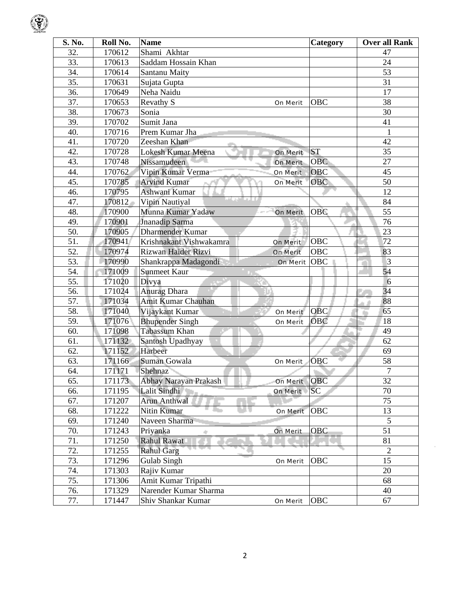|--|

| S. No. | Roll No. | <b>Name</b>                                   | Category   | <b>Over all Rank</b> |
|--------|----------|-----------------------------------------------|------------|----------------------|
| 32.    | 170612   | Shami Akhtar                                  |            | 47                   |
| 33.    | 170613   | Saddam Hossain Khan                           |            | 24                   |
| 34.    | 170614   | Santanu Maity                                 |            | $\overline{53}$      |
| 35.    | 170631   | Sujata Gupta                                  |            | 31                   |
| 36.    | 170649   | Neha Naidu                                    |            | 17                   |
| 37.    | 170653   | Revathy S<br><b>On Merit</b>                  | <b>OBC</b> | 38                   |
| 38.    | 170673   | Sonia                                         |            | 30                   |
| 39.    | 170702   | Sumit Jana                                    |            | 41                   |
| 40.    | 170716   | Prem Kumar Jha                                |            | $\mathbf{1}$         |
| 41.    | 170720   | Zeeshan Khan                                  |            | 42                   |
| 42.    | 170728   | Lokesh Kumar Meena<br><b>On Merit</b>         | <b>ST</b>  | 35                   |
| 43.    | 170748   | Nissamudeen<br><b>On Merit</b>                | <b>OBC</b> | 27                   |
| 44.    | 170762   | Vipin Kumar Verma<br><b>On Merit</b>          | OBC        | 45                   |
| 45.    | 170785   | <b>Arvind Kumar</b><br><b>On Merit</b>        | <b>OBC</b> | 50                   |
| 46.    | 170795   | Ashwani Kumar                                 |            | 12                   |
| 47.    | 170812   | राष्ट्रा का स<br>Vipin Nautiyal               |            | 84                   |
| 48.    | 170900   | Munna Kumar Yadaw<br><b>On Merit</b>          | <b>OBC</b> | 55                   |
| 49.    | 170901   | Jnanadip Sarma                                |            | 76                   |
| 50.    | 170905   | Dharmender Kumar                              |            | 23                   |
| 51.    | 170941   | Krishnakant Vishwakamra<br><b>On Merit</b>    | <b>OBC</b> | 72                   |
| 52.    | 170974   | <b>Rizwan Haider Rizvi</b><br><b>On Merit</b> | OBC        | 83                   |
| 53.    | 170990   | Shankrappa Madagondi<br><b>On Merit</b>       | <b>OBC</b> | $\overline{3}$       |
| 54.    | 171009   | Sunmeet Kaur                                  |            | 54                   |
| 55.    | 171020   | Divya                                         |            | 6                    |
| 56.    | 171024   | Anurag Dhara                                  |            | 34                   |
| 57.    | 171034   | <b>Amit Kumar Chauhan</b>                     |            | 88                   |
| 58.    | 171040   | Vijaykant Kumar<br>On Merit                   | <b>OBC</b> | 65<br>r.             |
| 59.    | 171076   | <b>Bhupender Singh</b><br><b>On Merit</b>     | <b>OBC</b> | 18                   |
| 60.    | 171098   | Tabassum Khan                                 |            | 49                   |
| 61.    | 171132   | Santosh Upadhyay                              |            | 62                   |
| 62.    | 171152   | Harbeer                                       |            | 69                   |
| 63.    | 171166   | Suman Gowala<br><b>On Merit</b>               | <b>OBC</b> | 58                   |
| 64.    | 171171   | Shehnaz                                       |            | $\overline{7}$       |
| 65.    | 171173   | Abhay Narayan Prakash<br><b>On Merit</b>      | OBC        | 32                   |
| 66.    | 171195   | Lalit Sindhi<br><b>On Merit</b>               | <b>SC</b>  | 70                   |
| 67.    | 171207   | <b>Arun Anthwal</b>                           |            | 75                   |
| 68.    | 171222   | Nitin Kumar<br><b>On Merit</b>                | <b>OBC</b> | 13                   |
| 69.    | 171240   | Naveen Sharma                                 |            | 5                    |
| 70.    | 171243   | Priyanka<br><b>On Merit</b><br>÷              | OBC        | 51                   |
| 71.    | 171250   | Rahul Rawat                                   |            | 81                   |
| 72.    | 171255   | <b>Rahul Garg</b>                             |            | $\overline{2}$       |
| 73.    | 171296   | Gulab Singh<br><b>On Merit</b>                | <b>OBC</b> | 15                   |
| 74.    | 171303   | Rajiv Kumar                                   |            | 20                   |
| 75.    | 171306   | Amit Kumar Tripathi                           |            | 68                   |
| 76.    | 171329   | Narender Kumar Sharma                         |            | 40                   |
| 77.    | 171447   | Shiv Shankar Kumar<br><b>On Merit</b>         | <b>OBC</b> | 67                   |

 $\sim$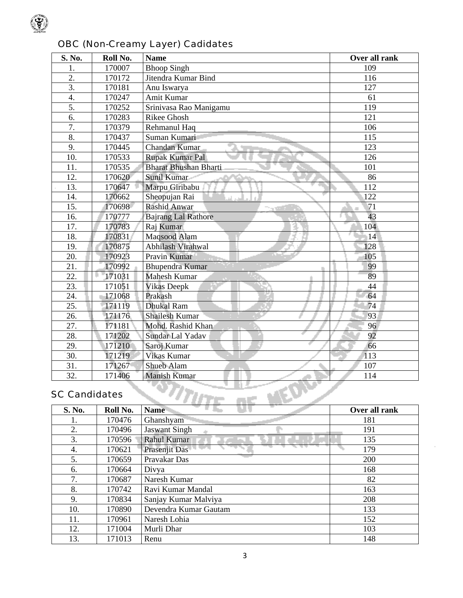

| S. No.               | Roll No. | <b>Name</b>                  | Over all rank |
|----------------------|----------|------------------------------|---------------|
| 1.                   | 170007   | <b>Bhoop Singh</b>           | 109           |
| 2.                   | 170172   | Jitendra Kumar Bind          | 116           |
| 3.                   | 170181   | Anu Iswarya                  | 127           |
| 4.                   | 170247   | Amit Kumar                   | 61            |
| 5.                   | 170252   | Srinivasa Rao Manigamu       | 119           |
| 6.                   | 170283   | Rikee Ghosh                  | 121           |
| $\overline{7}$ .     | 170379   | Rehmanul Haq                 | 106           |
| 8.                   | 170437   | Suman Kumari                 | 115           |
| 9.                   | 170445   | Chandan Kumar                | 123           |
| 10.                  | 170533   | Rupak Kumar Pal              | 126           |
| 11.                  | 170535   | <b>Bharat Bhushan Bharti</b> | 101           |
| 12.                  | 170620   | <b>Sunil Kumar</b>           | 86            |
| 13.                  | 170647   | Marpu Giribabu               | 112           |
| 14.                  | 170662   | Sheopujan Rai                | 122           |
| 15.                  | 170698   | Rashid Anwar                 | 71            |
| 16.                  | 170777   | <b>Bajrang Lal Rathore</b>   | 43            |
| 17.                  | 170783   | Raj Kumar                    | 104           |
| 18.                  | 170831   | Maqsood Alam                 | 14            |
| 19.                  | 170875   | Abhilash Virahwal            | 128           |
| 20.                  | 170923   | Pravin Kumar                 | 105           |
| 21.                  | 170992   | <b>Bhupendra Kumar</b>       | 99            |
| 22.                  | 171031   | <b>Mahesh Kumar</b>          | 89            |
| 23.                  | 171051   | <b>Vikas Deepk</b>           | 44            |
| 24.                  | 171068   | Prakash                      | 64            |
| 25.                  | 171119   | <b>Dhukal Ram</b>            | 74            |
| 26.                  | 171176   | <b>Shailesh Kumar</b>        | 93            |
| 27.                  | 171181   | Mohd. Rashid Khan            | 96            |
| 28.                  | 171202   | Sundar Lal Yadav             | 92            |
| 29.                  | 171210   | Saroj Kumar                  | 66            |
| 30.                  | 171219   | Vikas Kumar                  | 113           |
| 31.                  | 171267   | Shueb Alam                   | 107           |
| 32.                  | 171406   | <b>Manish Kumar</b>          | 114           |
| <b>SC Candidates</b> |          |                              |               |

# OBC (Non-Creamy Layer) Cadidates

# SC Candidates

| S. No. | Roll No. | <b>Name</b>           | Over all rank |
|--------|----------|-----------------------|---------------|
|        | 170476   | Ghanshyam             | 181           |
| 2.     | 170496   | <b>Jaswant Singh</b>  | 191           |
| 3.     | 170596   | Rahul Kumar<br>m.     | 135           |
| 4.     | 170621   | Prasenjit Das         | 179           |
| 5.     | 170659   | Pravakar Das          | 200           |
| 6.     | 170664   | Divya                 | 168           |
| 7.     | 170687   | Naresh Kumar          | 82            |
| 8.     | 170742   | Ravi Kumar Mandal     | 163           |
| 9.     | 170834   | Sanjay Kumar Malviya  | 208           |
| 10.    | 170890   | Devendra Kumar Gautam | 133           |
| 11.    | 170961   | Naresh Lohia          | 152           |
| 12.    | 171004   | Murli Dhar            | 103           |
| 13.    | 171013   | Renu                  | 148           |